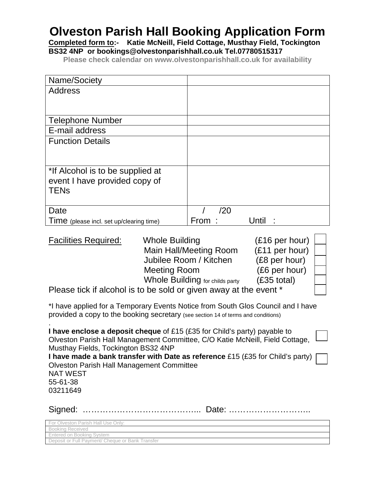## **Olveston Parish Hall Booking Application Form**

**Completed form to:- Katie McNeill, Field Cottage, Musthay Field, Tockington BS32 4NP or bookings@olvestonparishhall.co.uk Tel.07780515317**

**Please check calendar on www.olvestonparishhall.co.uk for availability**

| Name/Society                             |               |
|------------------------------------------|---------------|
| <b>Address</b>                           |               |
|                                          |               |
|                                          |               |
| <b>Telephone Number</b>                  |               |
| E-mail address                           |               |
| <b>Function Details</b>                  |               |
|                                          |               |
|                                          |               |
| *If Alcohol is to be supplied at         |               |
| event I have provided copy of            |               |
| <b>TEN<sub>s</sub></b>                   |               |
|                                          |               |
| Date                                     | /20           |
| Time (please incl. set up/clearing time) | From<br>Until |

| <b>Facilities Required:</b>                                       | <b>Whole Building</b>           | $(£16$ per hour) |  |
|-------------------------------------------------------------------|---------------------------------|------------------|--|
|                                                                   | <b>Main Hall/Meeting Room</b>   | (£11 per hour)   |  |
|                                                                   | Jubilee Room / Kitchen          | (£8 per hour)    |  |
|                                                                   | <b>Meeting Room</b>             | (£6 per hour)    |  |
|                                                                   | Whole Building for childs party | (£35 total)      |  |
| Please tick if alcohol is to be sold or given away at the event * |                                 |                  |  |

\*I have applied for a Temporary Events Notice from South Glos Council and I have provided a copy to the booking secretary (see section 14 of terms and conditions)

.

| I have enclose a deposit cheque of £15 (£35 for Child's party) payable to<br>Olveston Parish Hall Management Committee, C/O Katie McNeill, Field Cottage,<br>Musthay Fields, Tockington BS32 4NP |  |
|--------------------------------------------------------------------------------------------------------------------------------------------------------------------------------------------------|--|
| I have made a bank transfer with Date as reference £15 (£35 for Child's party) $\Box$                                                                                                            |  |
| <b>Olveston Parish Hall Management Committee</b>                                                                                                                                                 |  |
| <b>NAT WEST</b>                                                                                                                                                                                  |  |
| 55-61-38                                                                                                                                                                                         |  |
| 03211649                                                                                                                                                                                         |  |
|                                                                                                                                                                                                  |  |
|                                                                                                                                                                                                  |  |

| For Olveston Parish Hall Use Only:               |
|--------------------------------------------------|
| <b>Booking Received</b>                          |
| Entered on Booking System                        |
| Deposit or Full Payment/ Cheque or Bank Transfer |